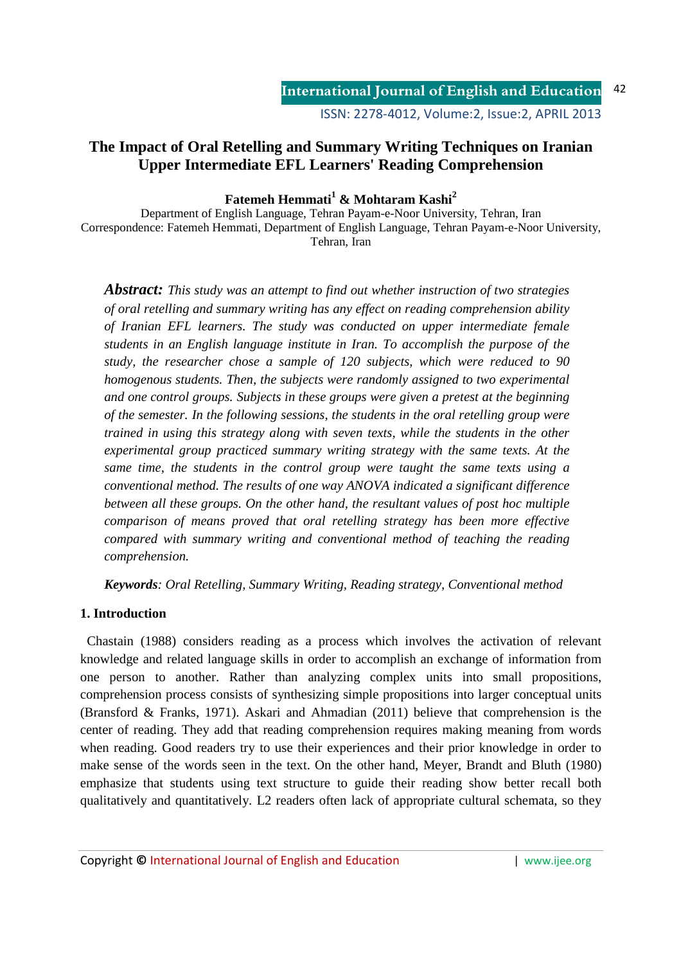ISSN: 2278-4012, Volume:2, Issue:2, APRIL 2013

# **The Impact of Oral Retelling and Summary Writing Techniques on Iranian Upper Intermediate EFL Learners' Reading Comprehension**

## **Fatemeh Hemmati<sup>1</sup> & Mohtaram Kashi<sup>2</sup>**

Department of English Language, Tehran Payam-e-Noor University, Tehran, Iran Correspondence: Fatemeh Hemmati, Department of English Language, Tehran Payam-e-Noor University, Tehran, Iran

*Abstract: This study was an attempt to find out whether instruction of two strategies of oral retelling and summary writing has any effect on reading comprehension ability of Iranian EFL learners. The study was conducted on upper intermediate female students in an English language institute in Iran. To accomplish the purpose of the study, the researcher chose a sample of 120 subjects, which were reduced to 90 homogenous students. Then, the subjects were randomly assigned to two experimental and one control groups. Subjects in these groups were given a pretest at the beginning of the semester. In the following sessions, the students in the oral retelling group were trained in using this strategy along with seven texts, while the students in the other experimental group practiced summary writing strategy with the same texts. At the same time, the students in the control group were taught the same texts using a conventional method. The results of one way ANOVA indicated a significant difference between all these groups. On the other hand, the resultant values of post hoc multiple comparison of means proved that oral retelling strategy has been more effective compared with summary writing and conventional method of teaching the reading comprehension.* 

*Keywords: Oral Retelling, Summary Writing, Reading strategy, Conventional method* 

## **1. Introduction**

 Chastain (1988) considers reading as a process which involves the activation of relevant knowledge and related language skills in order to accomplish an exchange of information from one person to another. Rather than analyzing complex units into small propositions, comprehension process consists of synthesizing simple propositions into larger conceptual units (Bransford & Franks, 1971). Askari and Ahmadian (2011) believe that comprehension is the center of reading. They add that reading comprehension requires making meaning from words when reading. Good readers try to use their experiences and their prior knowledge in order to make sense of the words seen in the text. On the other hand, Meyer, Brandt and Bluth (1980) emphasize that students using text structure to guide their reading show better recall both qualitatively and quantitatively. L2 readers often lack of appropriate cultural schemata, so they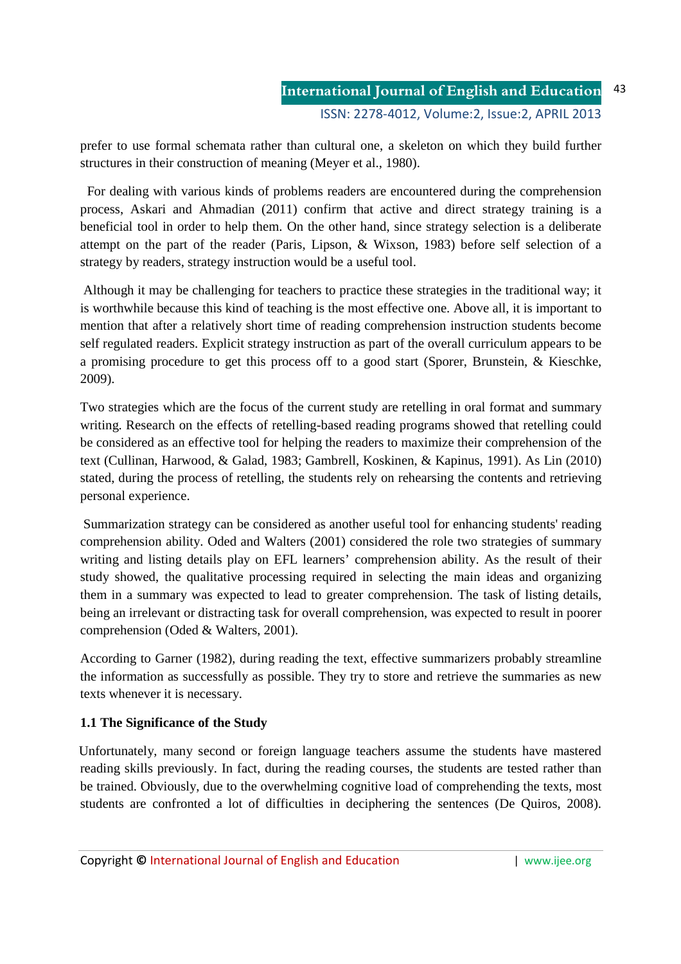prefer to use formal schemata rather than cultural one, a skeleton on which they build further structures in their construction of meaning (Meyer et al., 1980).

 For dealing with various kinds of problems readers are encountered during the comprehension process, Askari and Ahmadian (2011) confirm that active and direct strategy training is a beneficial tool in order to help them. On the other hand, since strategy selection is a deliberate attempt on the part of the reader (Paris, Lipson, & Wixson, 1983) before self selection of a strategy by readers, strategy instruction would be a useful tool.

 Although it may be challenging for teachers to practice these strategies in the traditional way; it is worthwhile because this kind of teaching is the most effective one. Above all, it is important to mention that after a relatively short time of reading comprehension instruction students become self regulated readers. Explicit strategy instruction as part of the overall curriculum appears to be a promising procedure to get this process off to a good start (Sporer, Brunstein, & Kieschke, 2009).

Two strategies which are the focus of the current study are retelling in oral format and summary writing. Research on the effects of retelling-based reading programs showed that retelling could be considered as an effective tool for helping the readers to maximize their comprehension of the text (Cullinan, Harwood, & Galad, 1983; Gambrell, Koskinen, & Kapinus, 1991). As Lin (2010) stated, during the process of retelling, the students rely on rehearsing the contents and retrieving personal experience.

 Summarization strategy can be considered as another useful tool for enhancing students' reading comprehension ability. Oded and Walters (2001) considered the role two strategies of summary writing and listing details play on EFL learners' comprehension ability. As the result of their study showed, the qualitative processing required in selecting the main ideas and organizing them in a summary was expected to lead to greater comprehension. The task of listing details, being an irrelevant or distracting task for overall comprehension, was expected to result in poorer comprehension (Oded & Walters, 2001).

According to Garner (1982), during reading the text, effective summarizers probably streamline the information as successfully as possible. They try to store and retrieve the summaries as new texts whenever it is necessary.

# **1.1 The Significance of the Study**

Unfortunately, many second or foreign language teachers assume the students have mastered reading skills previously. In fact, during the reading courses, the students are tested rather than be trained. Obviously, due to the overwhelming cognitive load of comprehending the texts, most students are confronted a lot of difficulties in deciphering the sentences (De Quiros, 2008).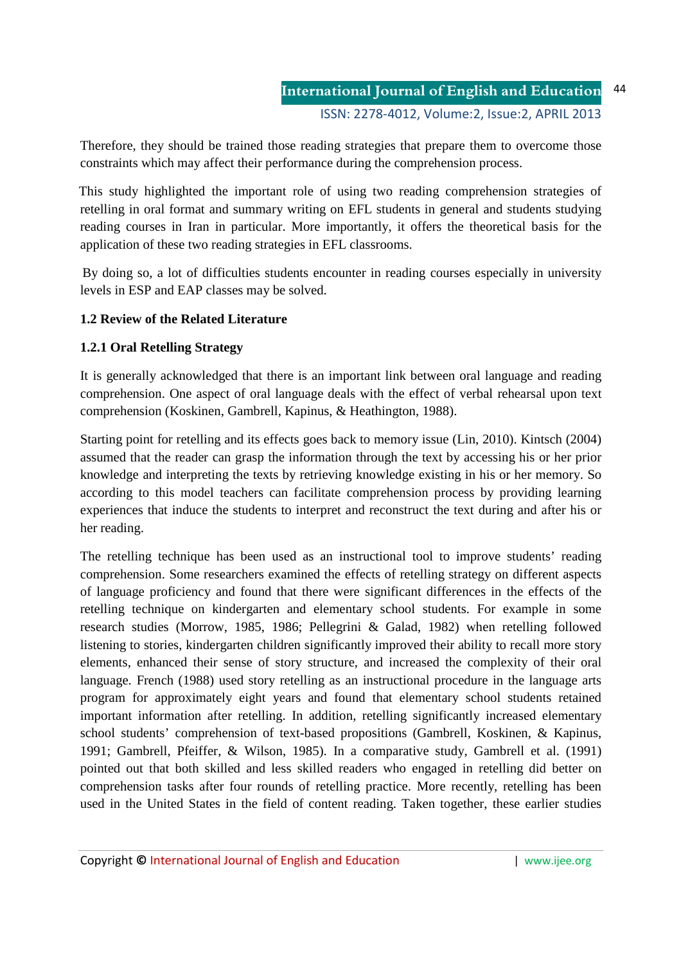Therefore, they should be trained those reading strategies that prepare them to overcome those constraints which may affect their performance during the comprehension process.

 This study highlighted the important role of using two reading comprehension strategies of retelling in oral format and summary writing on EFL students in general and students studying reading courses in Iran in particular. More importantly, it offers the theoretical basis for the application of these two reading strategies in EFL classrooms.

 By doing so, a lot of difficulties students encounter in reading courses especially in university levels in ESP and EAP classes may be solved.

## **1.2 Review of the Related Literature**

## **1.2.1 Oral Retelling Strategy**

It is generally acknowledged that there is an important link between oral language and reading comprehension. One aspect of oral language deals with the effect of verbal rehearsal upon text comprehension (Koskinen, Gambrell, Kapinus, & Heathington, 1988).

Starting point for retelling and its effects goes back to memory issue (Lin, 2010). Kintsch (2004) assumed that the reader can grasp the information through the text by accessing his or her prior knowledge and interpreting the texts by retrieving knowledge existing in his or her memory. So according to this model teachers can facilitate comprehension process by providing learning experiences that induce the students to interpret and reconstruct the text during and after his or her reading.

The retelling technique has been used as an instructional tool to improve students' reading comprehension. Some researchers examined the effects of retelling strategy on different aspects of language proficiency and found that there were significant differences in the effects of the retelling technique on kindergarten and elementary school students. For example in some research studies (Morrow, 1985, 1986; Pellegrini & Galad, 1982) when retelling followed listening to stories, kindergarten children significantly improved their ability to recall more story elements, enhanced their sense of story structure, and increased the complexity of their oral language. French (1988) used story retelling as an instructional procedure in the language arts program for approximately eight years and found that elementary school students retained important information after retelling. In addition, retelling significantly increased elementary school students' comprehension of text-based propositions (Gambrell, Koskinen, & Kapinus, 1991; Gambrell, Pfeiffer, & Wilson, 1985). In a comparative study, Gambrell et al. (1991) pointed out that both skilled and less skilled readers who engaged in retelling did better on comprehension tasks after four rounds of retelling practice. More recently, retelling has been used in the United States in the field of content reading. Taken together, these earlier studies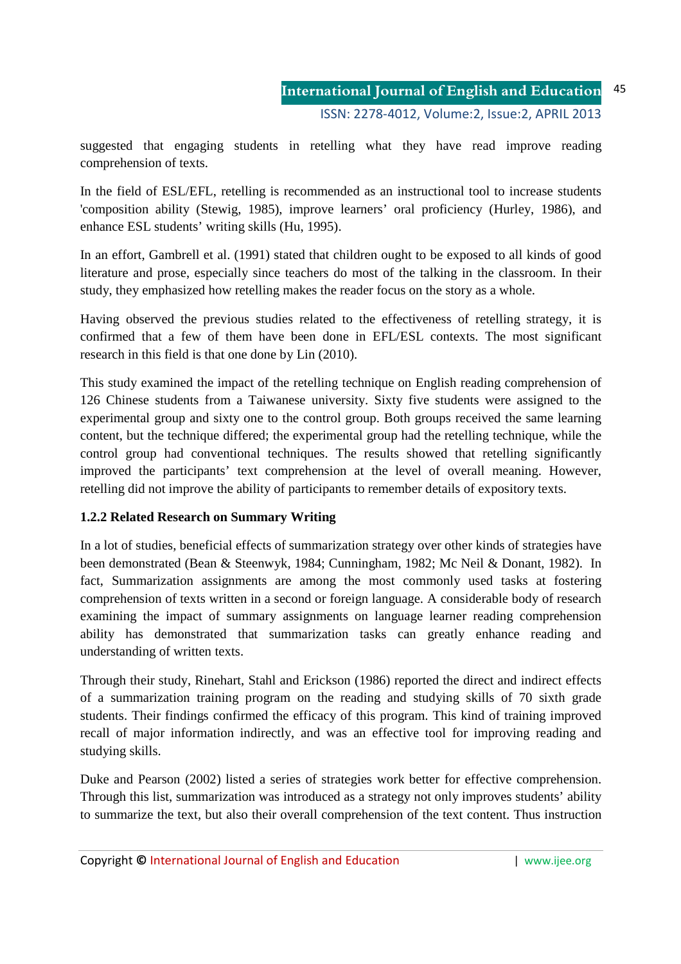suggested that engaging students in retelling what they have read improve reading comprehension of texts.

In the field of ESL/EFL, retelling is recommended as an instructional tool to increase students 'composition ability (Stewig, 1985), improve learners' oral proficiency (Hurley, 1986), and enhance ESL students' writing skills (Hu, 1995).

In an effort, Gambrell et al. (1991) stated that children ought to be exposed to all kinds of good literature and prose, especially since teachers do most of the talking in the classroom. In their study, they emphasized how retelling makes the reader focus on the story as a whole.

Having observed the previous studies related to the effectiveness of retelling strategy, it is confirmed that a few of them have been done in EFL/ESL contexts. The most significant research in this field is that one done by Lin (2010).

This study examined the impact of the retelling technique on English reading comprehension of 126 Chinese students from a Taiwanese university. Sixty five students were assigned to the experimental group and sixty one to the control group. Both groups received the same learning content, but the technique differed; the experimental group had the retelling technique, while the control group had conventional techniques. The results showed that retelling significantly improved the participants' text comprehension at the level of overall meaning. However, retelling did not improve the ability of participants to remember details of expository texts.

# **1.2.2 Related Research on Summary Writing**

In a lot of studies, beneficial effects of summarization strategy over other kinds of strategies have been demonstrated (Bean & Steenwyk, 1984; Cunningham, 1982; Mc Neil & Donant, 1982). In fact, Summarization assignments are among the most commonly used tasks at fostering comprehension of texts written in a second or foreign language. A considerable body of research examining the impact of summary assignments on language learner reading comprehension ability has demonstrated that summarization tasks can greatly enhance reading and understanding of written texts.

Through their study, Rinehart, Stahl and Erickson (1986) reported the direct and indirect effects of a summarization training program on the reading and studying skills of 70 sixth grade students. Their findings confirmed the efficacy of this program. This kind of training improved recall of major information indirectly, and was an effective tool for improving reading and studying skills.

Duke and Pearson (2002) listed a series of strategies work better for effective comprehension. Through this list, summarization was introduced as a strategy not only improves students' ability to summarize the text, but also their overall comprehension of the text content. Thus instruction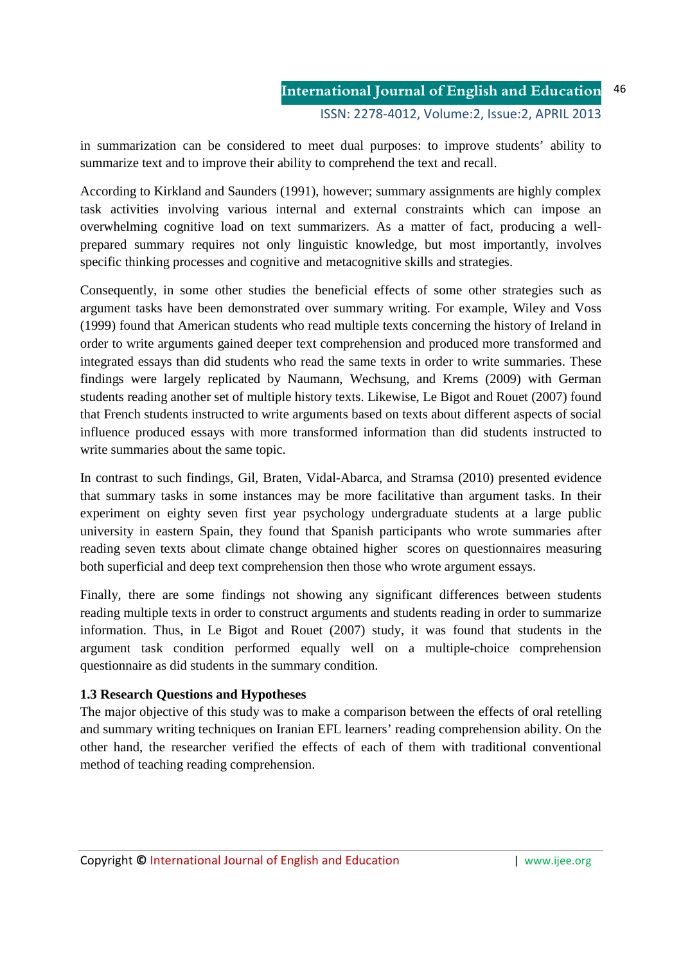in summarization can be considered to meet dual purposes: to improve students' ability to summarize text and to improve their ability to comprehend the text and recall.

According to Kirkland and Saunders (1991), however; summary assignments are highly complex task activities involving various internal and external constraints which can impose an overwhelming cognitive load on text summarizers. As a matter of fact, producing a wellprepared summary requires not only linguistic knowledge, but most importantly, involves specific thinking processes and cognitive and metacognitive skills and strategies.

Consequently, in some other studies the beneficial effects of some other strategies such as argument tasks have been demonstrated over summary writing. For example, Wiley and Voss (1999) found that American students who read multiple texts concerning the history of Ireland in order to write arguments gained deeper text comprehension and produced more transformed and integrated essays than did students who read the same texts in order to write summaries. These findings were largely replicated by Naumann, Wechsung, and Krems (2009) with German students reading another set of multiple history texts. Likewise, Le Bigot and Rouet (2007) found that French students instructed to write arguments based on texts about different aspects of social influence produced essays with more transformed information than did students instructed to write summaries about the same topic.

In contrast to such findings, Gil, Braten, Vidal-Abarca, and Stramsa (2010) presented evidence that summary tasks in some instances may be more facilitative than argument tasks. In their experiment on eighty seven first year psychology undergraduate students at a large public university in eastern Spain, they found that Spanish participants who wrote summaries after reading seven texts about climate change obtained higher scores on questionnaires measuring both superficial and deep text comprehension then those who wrote argument essays.

Finally, there are some findings not showing any significant differences between students reading multiple texts in order to construct arguments and students reading in order to summarize information. Thus, in Le Bigot and Rouet (2007) study, it was found that students in the argument task condition performed equally well on a multiple-choice comprehension questionnaire as did students in the summary condition.

## **1.3 Research Questions and Hypotheses**

The major objective of this study was to make a comparison between the effects of oral retelling and summary writing techniques on Iranian EFL learners' reading comprehension ability. On the other hand, the researcher verified the effects of each of them with traditional conventional method of teaching reading comprehension.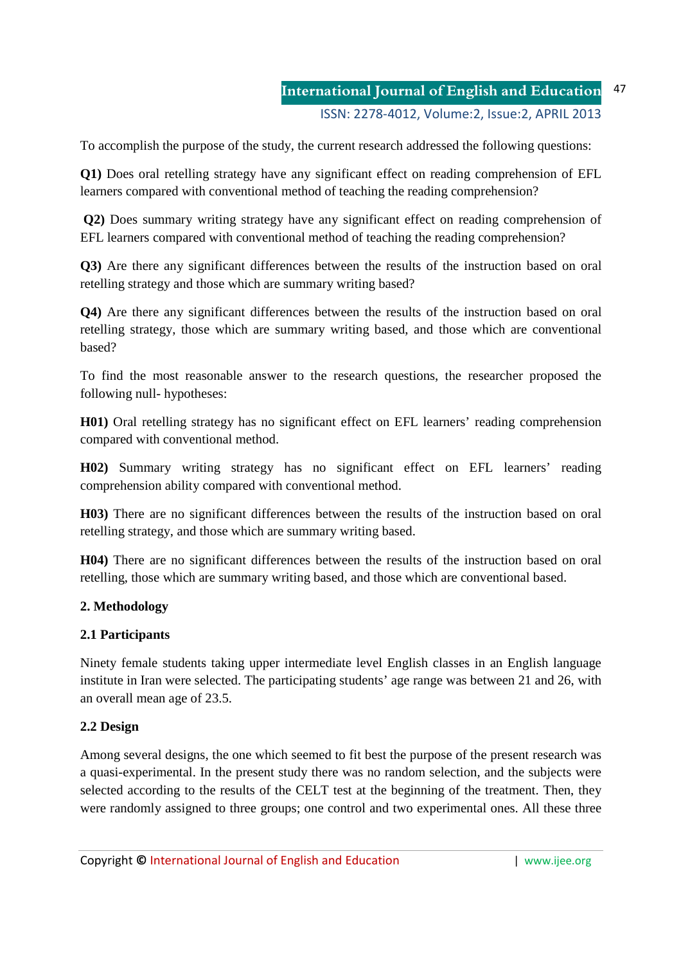#### **International Journal of English and Education** ISSN: 2278-4012, Volume:2, Issue:2, APRIL 2013 47

To accomplish the purpose of the study, the current research addressed the following questions:

**Q1)** Does oral retelling strategy have any significant effect on reading comprehension of EFL learners compared with conventional method of teaching the reading comprehension?

**Q2)** Does summary writing strategy have any significant effect on reading comprehension of EFL learners compared with conventional method of teaching the reading comprehension?

**Q3)** Are there any significant differences between the results of the instruction based on oral retelling strategy and those which are summary writing based?

**Q4)** Are there any significant differences between the results of the instruction based on oral retelling strategy, those which are summary writing based, and those which are conventional based?

To find the most reasonable answer to the research questions, the researcher proposed the following null- hypotheses:

**H01)** Oral retelling strategy has no significant effect on EFL learners' reading comprehension compared with conventional method.

**H02)** Summary writing strategy has no significant effect on EFL learners' reading comprehension ability compared with conventional method.

**H03)** There are no significant differences between the results of the instruction based on oral retelling strategy, and those which are summary writing based.

**H04)** There are no significant differences between the results of the instruction based on oral retelling, those which are summary writing based, and those which are conventional based.

## **2. Methodology**

# **2.1 Participants**

Ninety female students taking upper intermediate level English classes in an English language institute in Iran were selected. The participating students' age range was between 21 and 26, with an overall mean age of 23.5.

# **2.2 Design**

Among several designs, the one which seemed to fit best the purpose of the present research was a quasi-experimental. In the present study there was no random selection, and the subjects were selected according to the results of the CELT test at the beginning of the treatment. Then, they were randomly assigned to three groups; one control and two experimental ones. All these three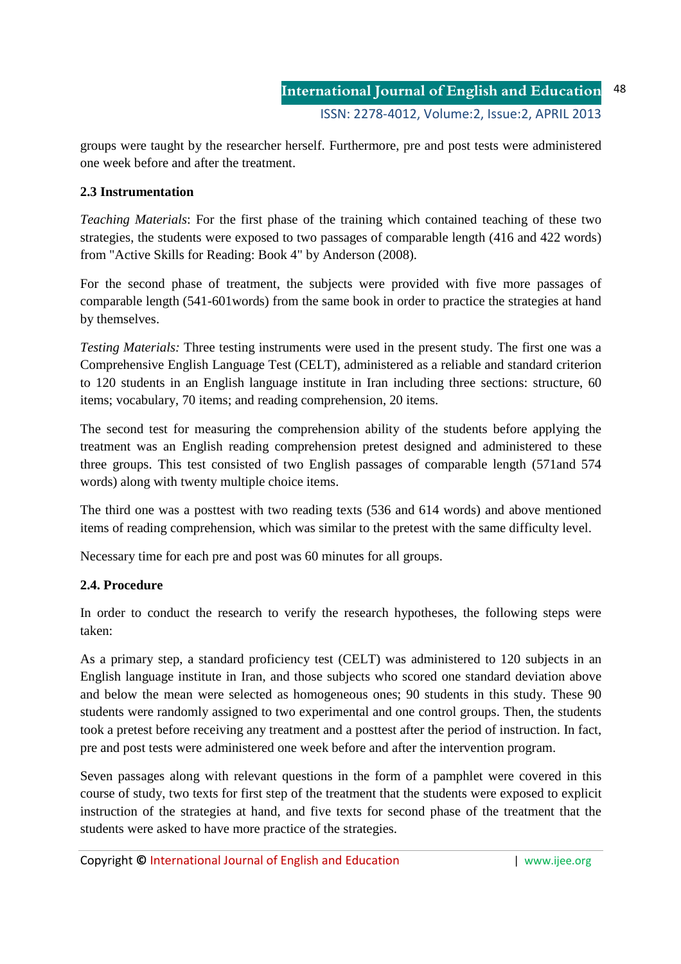groups were taught by the researcher herself. Furthermore, pre and post tests were administered one week before and after the treatment.

## **2.3 Instrumentation**

*Teaching Materials*: For the first phase of the training which contained teaching of these two strategies, the students were exposed to two passages of comparable length (416 and 422 words) from "Active Skills for Reading: Book 4" by Anderson (2008).

For the second phase of treatment, the subjects were provided with five more passages of comparable length (541-601words) from the same book in order to practice the strategies at hand by themselves.

*Testing Materials:* Three testing instruments were used in the present study. The first one was a Comprehensive English Language Test (CELT), administered as a reliable and standard criterion to 120 students in an English language institute in Iran including three sections: structure, 60 items; vocabulary, 70 items; and reading comprehension, 20 items.

The second test for measuring the comprehension ability of the students before applying the treatment was an English reading comprehension pretest designed and administered to these three groups. This test consisted of two English passages of comparable length (571and 574 words) along with twenty multiple choice items.

The third one was a posttest with two reading texts (536 and 614 words) and above mentioned items of reading comprehension, which was similar to the pretest with the same difficulty level.

Necessary time for each pre and post was 60 minutes for all groups.

# **2.4. Procedure**

In order to conduct the research to verify the research hypotheses, the following steps were taken:

As a primary step, a standard proficiency test (CELT) was administered to 120 subjects in an English language institute in Iran, and those subjects who scored one standard deviation above and below the mean were selected as homogeneous ones; 90 students in this study. These 90 students were randomly assigned to two experimental and one control groups. Then, the students took a pretest before receiving any treatment and a posttest after the period of instruction. In fact, pre and post tests were administered one week before and after the intervention program.

Seven passages along with relevant questions in the form of a pamphlet were covered in this course of study, two texts for first step of the treatment that the students were exposed to explicit instruction of the strategies at hand, and five texts for second phase of the treatment that the students were asked to have more practice of the strategies.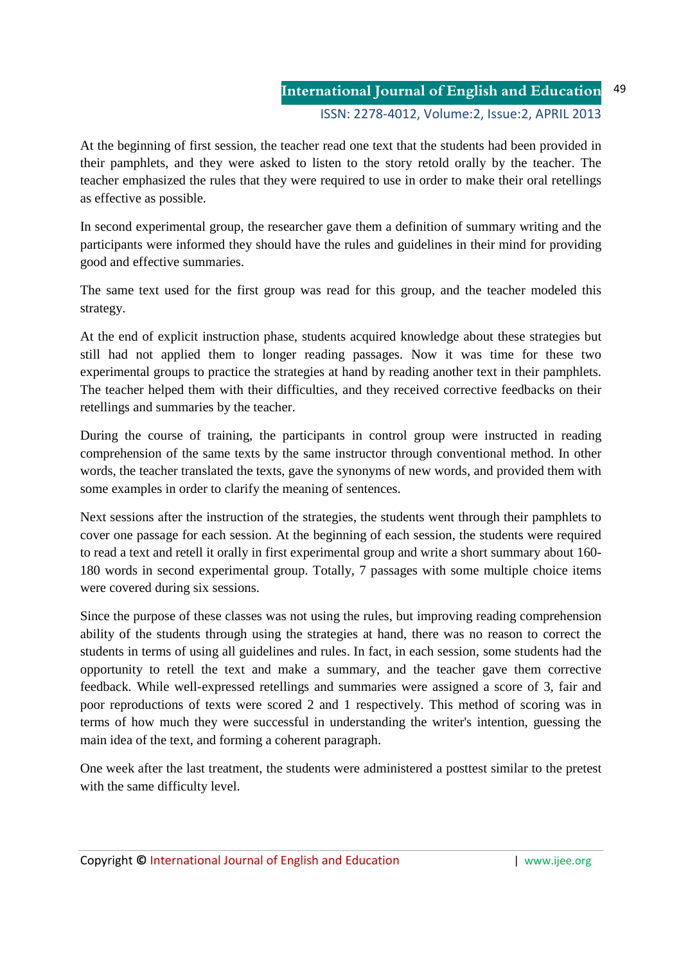At the beginning of first session, the teacher read one text that the students had been provided in their pamphlets, and they were asked to listen to the story retold orally by the teacher. The teacher emphasized the rules that they were required to use in order to make their oral retellings as effective as possible.

In second experimental group, the researcher gave them a definition of summary writing and the participants were informed they should have the rules and guidelines in their mind for providing good and effective summaries.

The same text used for the first group was read for this group, and the teacher modeled this strategy.

At the end of explicit instruction phase, students acquired knowledge about these strategies but still had not applied them to longer reading passages. Now it was time for these two experimental groups to practice the strategies at hand by reading another text in their pamphlets. The teacher helped them with their difficulties, and they received corrective feedbacks on their retellings and summaries by the teacher.

During the course of training, the participants in control group were instructed in reading comprehension of the same texts by the same instructor through conventional method. In other words, the teacher translated the texts, gave the synonyms of new words, and provided them with some examples in order to clarify the meaning of sentences.

Next sessions after the instruction of the strategies, the students went through their pamphlets to cover one passage for each session. At the beginning of each session, the students were required to read a text and retell it orally in first experimental group and write a short summary about 160- 180 words in second experimental group. Totally, 7 passages with some multiple choice items were covered during six sessions.

Since the purpose of these classes was not using the rules, but improving reading comprehension ability of the students through using the strategies at hand, there was no reason to correct the students in terms of using all guidelines and rules. In fact, in each session, some students had the opportunity to retell the text and make a summary, and the teacher gave them corrective feedback. While well-expressed retellings and summaries were assigned a score of 3, fair and poor reproductions of texts were scored 2 and 1 respectively. This method of scoring was in terms of how much they were successful in understanding the writer's intention, guessing the main idea of the text, and forming a coherent paragraph.

One week after the last treatment, the students were administered a posttest similar to the pretest with the same difficulty level.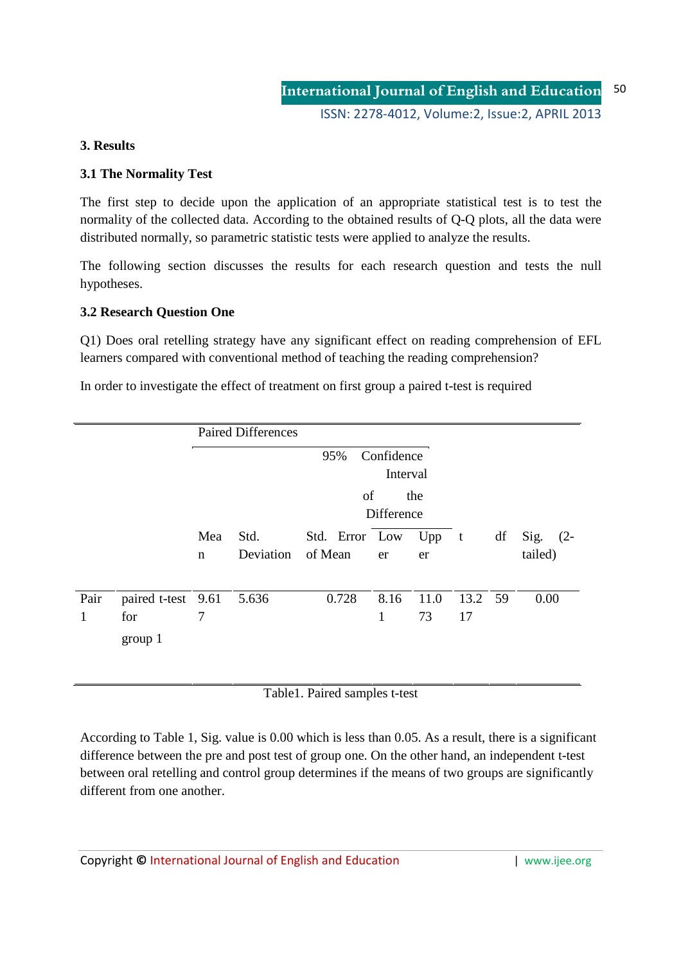## **3. Results**

## **3.1 The Normality Test**

The first step to decide upon the application of an appropriate statistical test is to test the normality of the collected data. According to the obtained results of Q-Q plots, all the data were distributed normally, so parametric statistic tests were applied to analyze the results.

The following section discusses the results for each research question and tests the null hypotheses.

## **3.2 Research Question One**

Q1) Does oral retelling strategy have any significant effect on reading comprehension of EFL learners compared with conventional method of teaching the reading comprehension?

In order to investigate the effect of treatment on first group a paired t-test is required

|           |                                            |                    | <b>Paired Differences</b>     |                           |                      |               |               |    |                       |  |  |
|-----------|--------------------------------------------|--------------------|-------------------------------|---------------------------|----------------------|---------------|---------------|----|-----------------------|--|--|
|           |                                            |                    | Confidence<br>95%<br>Interval |                           |                      |               |               |    |                       |  |  |
|           |                                            |                    | of<br>the<br>Difference       |                           |                      |               |               |    |                       |  |  |
|           |                                            | Mea<br>$\mathbf n$ | Std.<br>Deviation             | Std. Error Low<br>of Mean | er                   | $Upp$ t<br>er |               | df | Sig. $(2-$<br>tailed) |  |  |
| Pair<br>1 | paired t-test 9.61 5.636<br>for<br>group 1 | 7                  |                               | 0.728                     | 8.16<br>$\mathbf{1}$ | 11.0<br>73    | 13.2 59<br>17 |    | 0.00                  |  |  |

Table1. Paired samples t-test

According to Table 1, Sig. value is 0.00 which is less than 0.05. As a result, there is a significant difference between the pre and post test of group one. On the other hand, an independent t-test between oral retelling and control group determines if the means of two groups are significantly different from one another.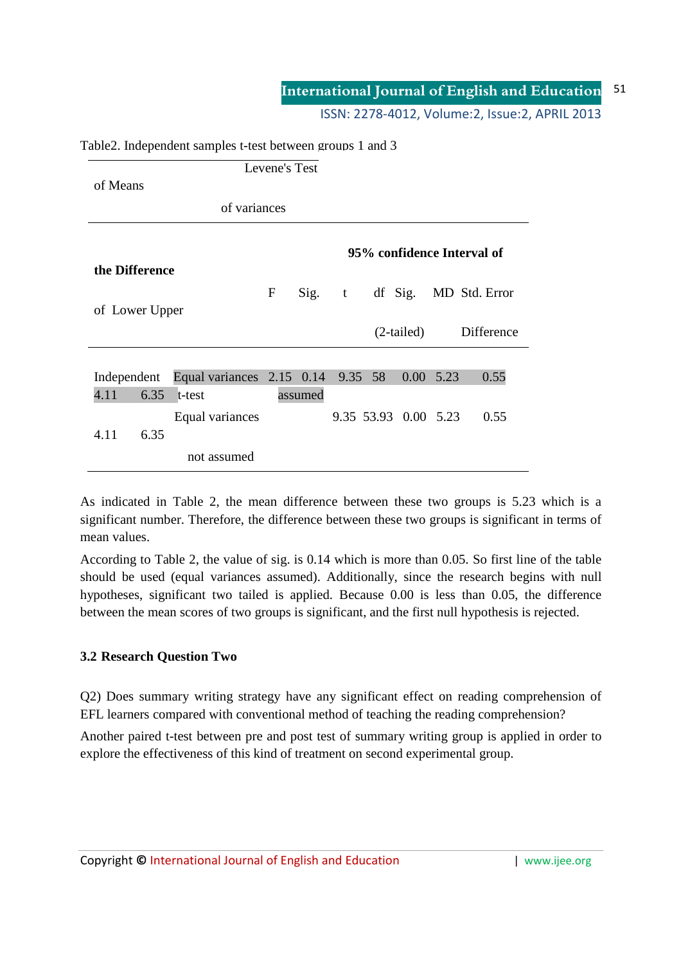#### **International Journal of English and Education** 51

ISSN: 2278-4012, Volume:2, Issue:2, APRIL 2013

|                                              |                                   | Levene's Test |         |   |  |                      |      |                       |
|----------------------------------------------|-----------------------------------|---------------|---------|---|--|----------------------|------|-----------------------|
| of Means                                     |                                   |               |         |   |  |                      |      |                       |
|                                              | of variances                      |               |         |   |  |                      |      |                       |
| 95% confidence Interval of<br>the Difference |                                   |               |         |   |  |                      |      |                       |
|                                              |                                   | ${\bf F}$     | Sig.    | t |  |                      |      | df Sig. MD Std. Error |
| of Lower Upper                               |                                   |               |         |   |  |                      |      |                       |
|                                              |                                   |               |         |   |  | $(2-tailed)$         |      | Difference            |
|                                              |                                   |               |         |   |  |                      |      |                       |
| Independent                                  | Equal variances 2.15 0.14 9.35 58 |               |         |   |  | 0.00                 | 5.23 | 0.55                  |
| 4.11<br>6.35                                 | t-test                            |               | assumed |   |  |                      |      |                       |
|                                              | Equal variances                   |               |         |   |  | 9.35 53.93 0.00 5.23 |      | 0.55                  |
| 6.35<br>4.11                                 |                                   |               |         |   |  |                      |      |                       |
|                                              | not assumed                       |               |         |   |  |                      |      |                       |

#### Table2. Independent samples t-test between groups 1 and 3

As indicated in Table 2, the mean difference between these two groups is 5.23 which is a significant number. Therefore, the difference between these two groups is significant in terms of mean values.

According to Table 2, the value of sig. is 0.14 which is more than 0.05. So first line of the table should be used (equal variances assumed). Additionally, since the research begins with null hypotheses, significant two tailed is applied. Because 0.00 is less than 0.05, the difference between the mean scores of two groups is significant, and the first null hypothesis is rejected.

## **3.2 Research Question Two**

Q2) Does summary writing strategy have any significant effect on reading comprehension of EFL learners compared with conventional method of teaching the reading comprehension?

Another paired t-test between pre and post test of summary writing group is applied in order to explore the effectiveness of this kind of treatment on second experimental group.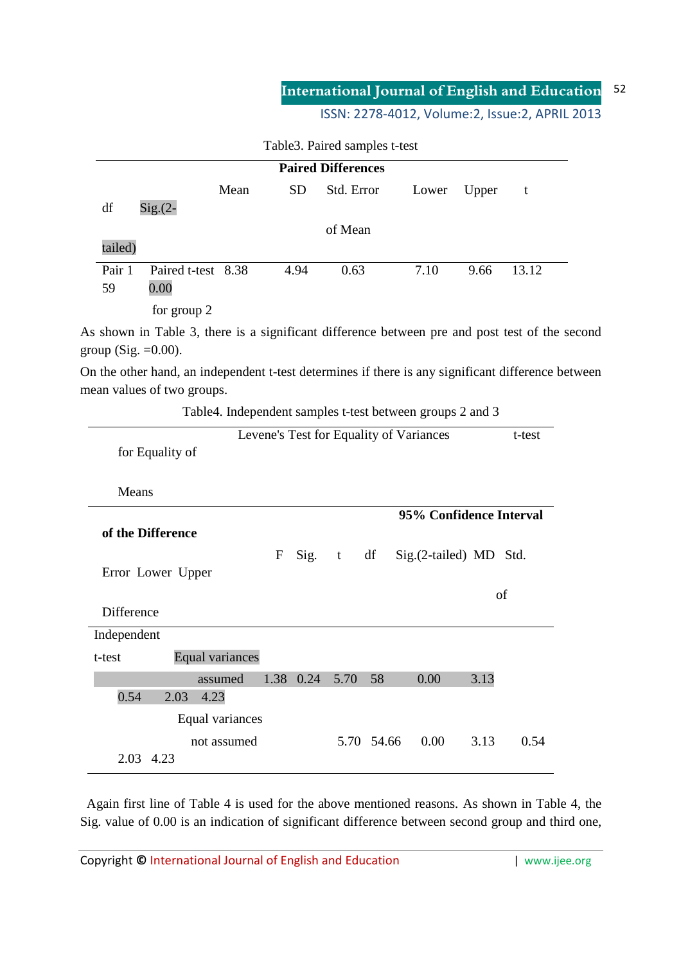#### **International Journal of English and Education** 52

ISSN: 2278-4012, Volume:2, Issue:2, APRIL 2013

|         | <b>Paired Differences</b> |      |           |            |       |       |              |  |  |
|---------|---------------------------|------|-----------|------------|-------|-------|--------------|--|--|
|         |                           | Mean | <b>SD</b> | Std. Error | Lower | Upper | $\mathbf{t}$ |  |  |
| df      | $Sig(2 -$                 |      |           |            |       |       |              |  |  |
|         |                           |      |           | of Mean    |       |       |              |  |  |
| tailed) |                           |      |           |            |       |       |              |  |  |
| Pair 1  | Paired t-test 8.38        |      | 4.94      | 0.63       | 7.10  | 9.66  | 13.12        |  |  |
| 59      | 0.00                      |      |           |            |       |       |              |  |  |
|         | for group 2               |      |           |            |       |       |              |  |  |

Table3. Paired samples t-test

As shown in Table 3, there is a significant difference between pre and post test of the second group (Sig.  $=0.00$ ).

On the other hand, an independent t-test determines if there is any significant difference between mean values of two groups.

Table4. Independent samples t-test between groups 2 and 3

|                   |                        |             |           |      |            | Levene's Test for Equality of Variances |      | t-test |
|-------------------|------------------------|-------------|-----------|------|------------|-----------------------------------------|------|--------|
|                   | for Equality of        |             |           |      |            |                                         |      |        |
| Means             |                        |             |           |      |            |                                         |      |        |
|                   |                        |             |           |      |            | 95% Confidence Interval                 |      |        |
| of the Difference |                        |             |           |      |            |                                         |      |        |
|                   |                        | $\mathbf F$ | Sig. t    |      | df         | Sig.(2-tailed) MD Std.                  |      |        |
|                   | Error Lower Upper      |             |           |      |            |                                         |      |        |
|                   |                        |             |           |      |            |                                         |      | of     |
| Difference        |                        |             |           |      |            |                                         |      |        |
| Independent       |                        |             |           |      |            |                                         |      |        |
| t-test            | <b>Equal variances</b> |             |           |      |            |                                         |      |        |
|                   | assumed                |             | 1.38 0.24 | 5.70 | 58         | 0.00                                    | 3.13 |        |
| 0.54              | 4.23<br>2.03           |             |           |      |            |                                         |      |        |
|                   | Equal variances        |             |           |      |            |                                         |      |        |
|                   | not assumed            |             |           |      | 5.70 54.66 | 0.00                                    | 3.13 | 0.54   |
| 2.03 4.23         |                        |             |           |      |            |                                         |      |        |

 Again first line of Table 4 is used for the above mentioned reasons. As shown in Table 4, the Sig. value of 0.00 is an indication of significant difference between second group and third one,

Copyright © International Journal of English and Education **Fig. 1** www.ijee.org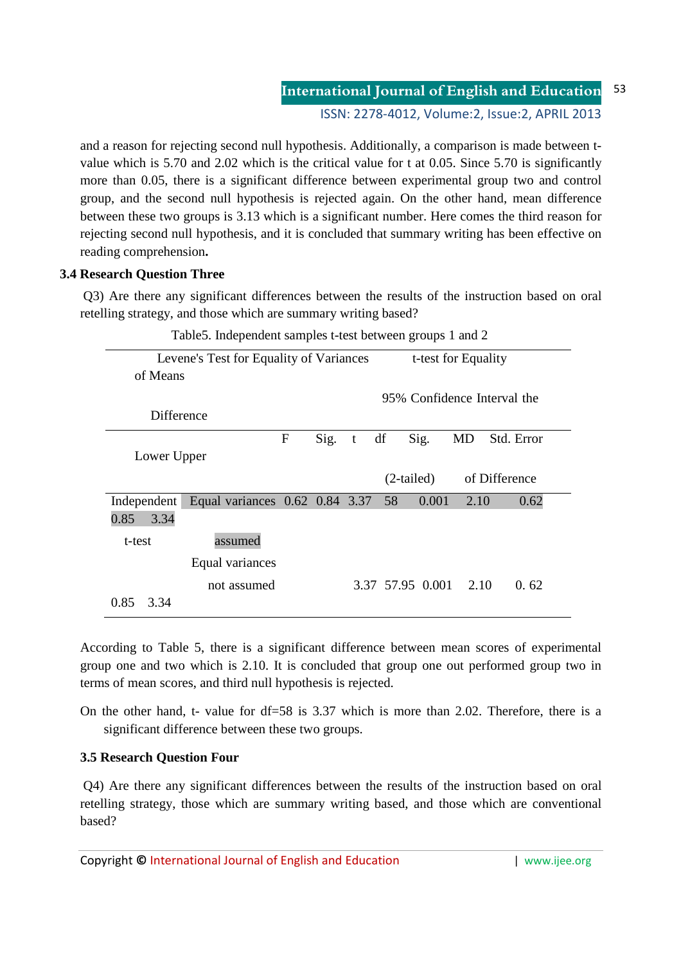## **International Journal of English and Education** 53

ISSN: 2278-4012, Volume:2, Issue:2, APRIL 2013

and a reason for rejecting second null hypothesis. Additionally, a comparison is made between tvalue which is 5.70 and 2.02 which is the critical value for t at 0.05. Since 5.70 is significantly more than 0.05, there is a significant difference between experimental group two and control group, and the second null hypothesis is rejected again. On the other hand, mean difference between these two groups is 3.13 which is a significant number. Here comes the third reason for rejecting second null hypothesis, and it is concluded that summary writing has been effective on reading comprehension**.** 

## **3.4 Research Question Three**

 Q3) Are there any significant differences between the results of the instruction based on oral retelling strategy, and those which are summary writing based?

| Table 5. Independent samples t-test between groups T and 2 |                                                                |   |          |  |    |                       |      |                             |  |
|------------------------------------------------------------|----------------------------------------------------------------|---|----------|--|----|-----------------------|------|-----------------------------|--|
|                                                            | Levene's Test for Equality of Variances<br>t-test for Equality |   |          |  |    |                       |      |                             |  |
| of Means                                                   |                                                                |   |          |  |    |                       |      |                             |  |
|                                                            |                                                                |   |          |  |    |                       |      | 95% Confidence Interval the |  |
| Difference                                                 |                                                                |   |          |  |    |                       |      |                             |  |
|                                                            |                                                                | F | $Sig.$ t |  | df | Sig.                  | MD   | Std. Error                  |  |
| Lower Upper                                                |                                                                |   |          |  |    |                       |      |                             |  |
|                                                            |                                                                |   |          |  |    | $(2-tailed)$          |      | of Difference               |  |
| Independent                                                | Equal variances $0.62$ 0.84 3.37                               |   |          |  | 58 | 0.001                 | 2.10 | 0.62                        |  |
| 3.34<br>0.85                                               |                                                                |   |          |  |    |                       |      |                             |  |
| t-test                                                     | assumed                                                        |   |          |  |    |                       |      |                             |  |
|                                                            | Equal variances                                                |   |          |  |    |                       |      |                             |  |
|                                                            | not assumed                                                    |   |          |  |    | 3.37 57.95 0.001 2.10 |      | 0.62                        |  |
| 0.85<br>3.34                                               |                                                                |   |          |  |    |                       |      |                             |  |

Table5. Independent samples t-test between groups 1 and 2

According to Table 5, there is a significant difference between mean scores of experimental group one and two which is 2.10. It is concluded that group one out performed group two in terms of mean scores, and third null hypothesis is rejected.

On the other hand, t- value for df=58 is 3.37 which is more than 2.02. Therefore, there is a significant difference between these two groups.

## **3.5 Research Question Four**

 Q4) Are there any significant differences between the results of the instruction based on oral retelling strategy, those which are summary writing based, and those which are conventional based?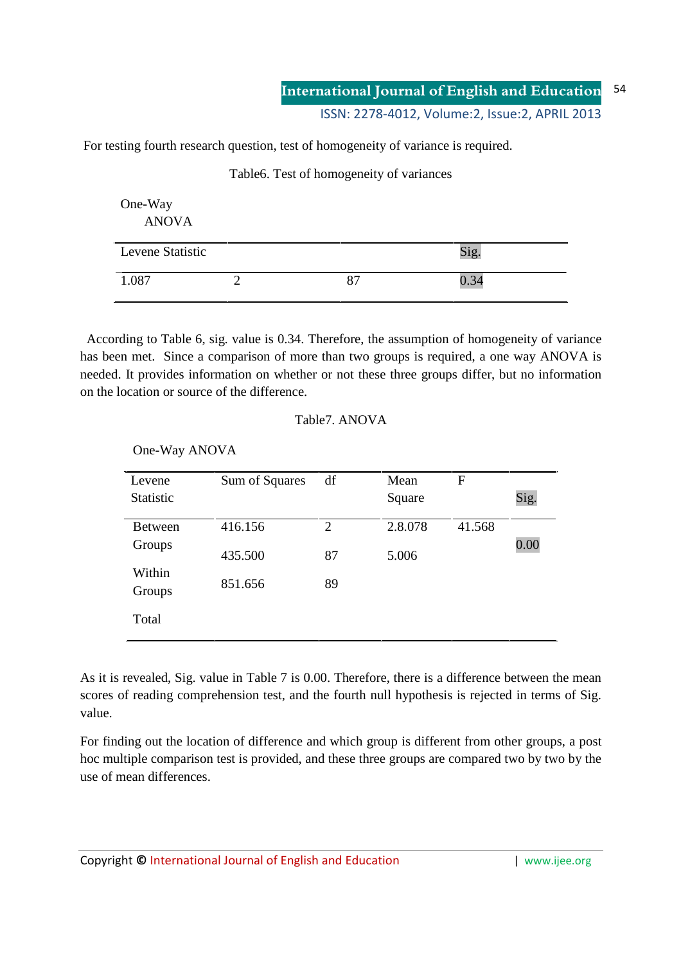For testing fourth research question, test of homogeneity of variance is required.

Table6. Test of homogeneity of variances

| One-Way<br><b>ANOVA</b> |    |      |
|-------------------------|----|------|
| Levene Statistic        |    | Sig. |
| 1.087                   | 87 | 0.34 |

 According to Table 6, sig. value is 0.34. Therefore, the assumption of homogeneity of variance has been met. Since a comparison of more than two groups is required, a one way ANOVA is needed. It provides information on whether or not these three groups differ, but no information on the location or source of the difference.

## Table7. ANOVA

Levene **Statistic** Sum of Squares df Mean **Square** F Sig. Between Groups Within Groups Total 416.156 435.500 851.656 2 87 89 2.8.078 5.006 41.568 0.00

One-Way ANOVA

As it is revealed, Sig. value in Table 7 is 0.00. Therefore, there is a difference between the mean scores of reading comprehension test, and the fourth null hypothesis is rejected in terms of Sig. value.

For finding out the location of difference and which group is different from other groups, a post hoc multiple comparison test is provided, and these three groups are compared two by two by the use of mean differences.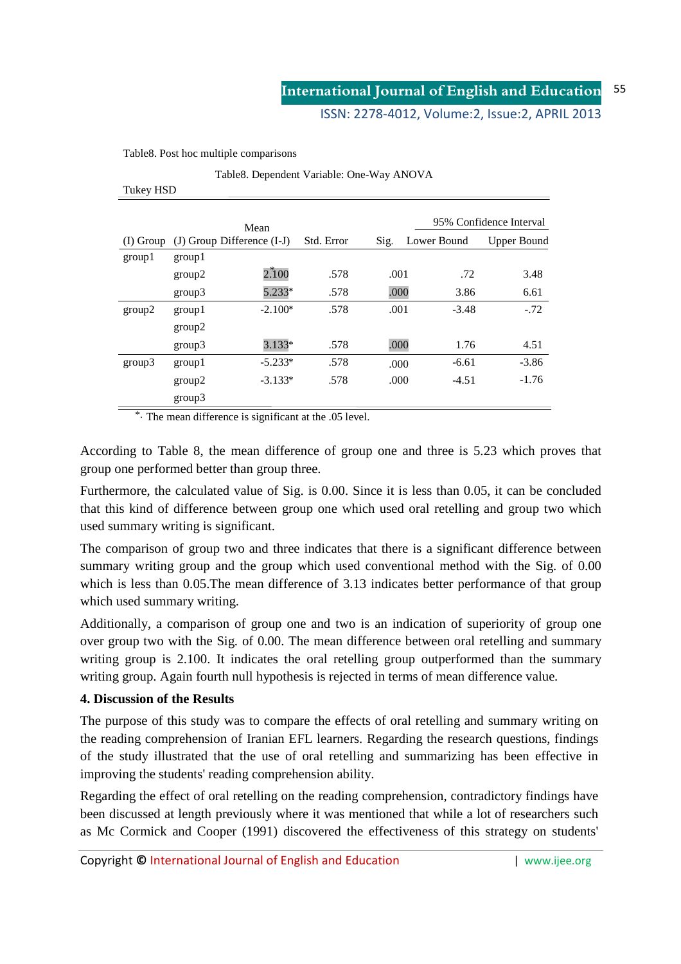### ISSN: 2278-4012, Volume:2, Issue:2, APRIL 2013

Table8. Post hoc multiple comparisons

|  | Table8. Dependent Variable: One-Way ANOVA |  |  |
|--|-------------------------------------------|--|--|
|  |                                           |  |  |

|             |        | Mean                           |            |      |             | 95% Confidence Interval |
|-------------|--------|--------------------------------|------------|------|-------------|-------------------------|
| $(I)$ Group |        | $(J)$ Group Difference $(I-J)$ | Std. Error | Sig. | Lower Bound | Upper Bound             |
| group1      | group1 |                                |            |      |             |                         |
|             | group2 | 2.100                          | .578       | .001 | .72         | 3.48                    |
|             | group3 | 5.233*                         | .578       | .000 | 3.86        | 6.61                    |
| group2      | group1 | $-2.100*$                      | .578       | .001 | $-3.48$     | $-.72$                  |
|             | group2 |                                |            |      |             |                         |
|             | group3 | $3.133*$                       | .578       | .000 | 1.76        | 4.51                    |
| group3      | group1 | $-5.233*$                      | .578       | .000 | $-6.61$     | $-3.86$                 |
|             | group2 | $-3.133*$                      | .578       | .000 | $-4.51$     | $-1.76$                 |
|             | group3 |                                |            |      |             |                         |

\*. The mean difference is significant at the .05 level.

According to Table 8, the mean difference of group one and three is 5.23 which proves that group one performed better than group three.

Furthermore, the calculated value of Sig. is 0.00. Since it is less than 0.05, it can be concluded that this kind of difference between group one which used oral retelling and group two which used summary writing is significant.

The comparison of group two and three indicates that there is a significant difference between summary writing group and the group which used conventional method with the Sig. of 0.00 which is less than 0.05. The mean difference of 3.13 indicates better performance of that group which used summary writing.

Additionally, a comparison of group one and two is an indication of superiority of group one over group two with the Sig. of 0.00. The mean difference between oral retelling and summary writing group is 2.100. It indicates the oral retelling group outperformed than the summary writing group. Again fourth null hypothesis is rejected in terms of mean difference value.

### **4. Discussion of the Results**

The purpose of this study was to compare the effects of oral retelling and summary writing on the reading comprehension of Iranian EFL learners. Regarding the research questions, findings of the study illustrated that the use of oral retelling and summarizing has been effective in improving the students' reading comprehension ability.

Regarding the effect of oral retelling on the reading comprehension, contradictory findings have been discussed at length previously where it was mentioned that while a lot of researchers such as Mc Cormick and Cooper (1991) discovered the effectiveness of this strategy on students'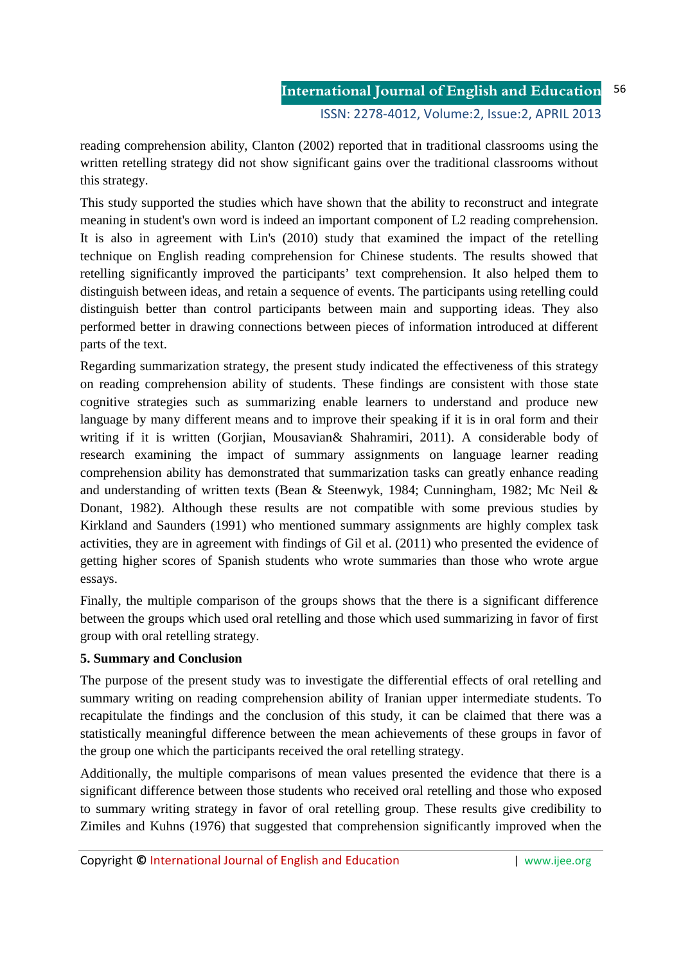reading comprehension ability, Clanton (2002) reported that in traditional classrooms using the written retelling strategy did not show significant gains over the traditional classrooms without this strategy.

This study supported the studies which have shown that the ability to reconstruct and integrate meaning in student's own word is indeed an important component of L2 reading comprehension. It is also in agreement with Lin's (2010) study that examined the impact of the retelling technique on English reading comprehension for Chinese students. The results showed that retelling significantly improved the participants' text comprehension. It also helped them to distinguish between ideas, and retain a sequence of events. The participants using retelling could distinguish better than control participants between main and supporting ideas. They also performed better in drawing connections between pieces of information introduced at different parts of the text.

Regarding summarization strategy, the present study indicated the effectiveness of this strategy on reading comprehension ability of students. These findings are consistent with those state cognitive strategies such as summarizing enable learners to understand and produce new language by many different means and to improve their speaking if it is in oral form and their writing if it is written (Gorjian, Mousavian& Shahramiri, 2011). A considerable body of research examining the impact of summary assignments on language learner reading comprehension ability has demonstrated that summarization tasks can greatly enhance reading and understanding of written texts (Bean & Steenwyk, 1984; Cunningham, 1982; Mc Neil & Donant, 1982). Although these results are not compatible with some previous studies by Kirkland and Saunders (1991) who mentioned summary assignments are highly complex task activities, they are in agreement with findings of Gil et al. (2011) who presented the evidence of getting higher scores of Spanish students who wrote summaries than those who wrote argue essays.

Finally, the multiple comparison of the groups shows that the there is a significant difference between the groups which used oral retelling and those which used summarizing in favor of first group with oral retelling strategy.

## **5. Summary and Conclusion**

The purpose of the present study was to investigate the differential effects of oral retelling and summary writing on reading comprehension ability of Iranian upper intermediate students. To recapitulate the findings and the conclusion of this study, it can be claimed that there was a statistically meaningful difference between the mean achievements of these groups in favor of the group one which the participants received the oral retelling strategy.

Additionally, the multiple comparisons of mean values presented the evidence that there is a significant difference between those students who received oral retelling and those who exposed to summary writing strategy in favor of oral retelling group. These results give credibility to Zimiles and Kuhns (1976) that suggested that comprehension significantly improved when the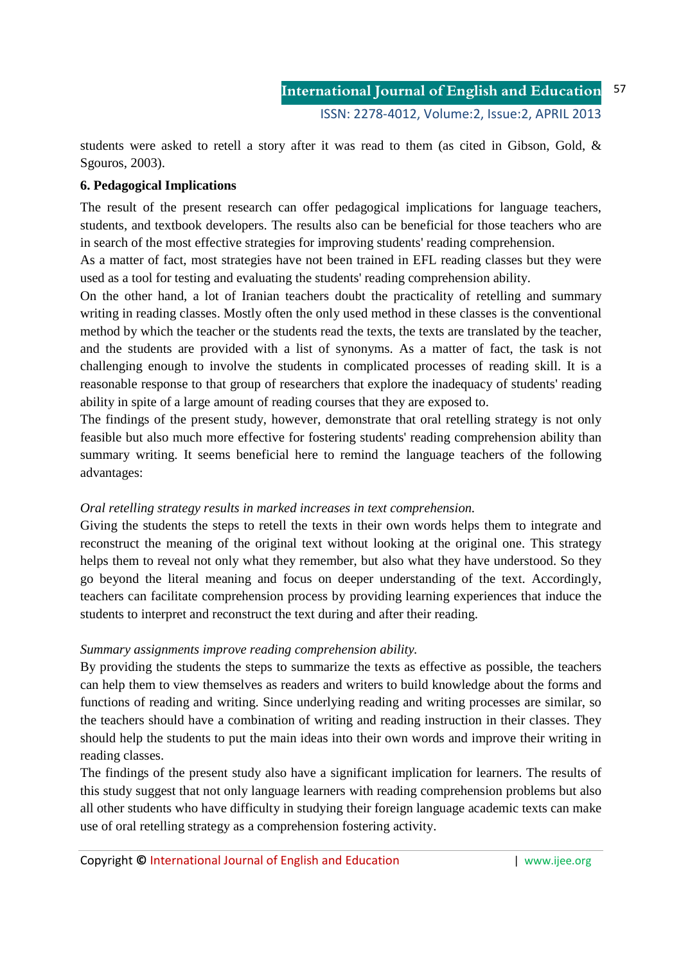students were asked to retell a story after it was read to them (as cited in Gibson, Gold, & Sgouros, 2003).

## **6. Pedagogical Implications**

The result of the present research can offer pedagogical implications for language teachers, students, and textbook developers. The results also can be beneficial for those teachers who are in search of the most effective strategies for improving students' reading comprehension.

As a matter of fact, most strategies have not been trained in EFL reading classes but they were used as a tool for testing and evaluating the students' reading comprehension ability.

On the other hand, a lot of Iranian teachers doubt the practicality of retelling and summary writing in reading classes. Mostly often the only used method in these classes is the conventional method by which the teacher or the students read the texts, the texts are translated by the teacher, and the students are provided with a list of synonyms. As a matter of fact, the task is not challenging enough to involve the students in complicated processes of reading skill. It is a reasonable response to that group of researchers that explore the inadequacy of students' reading ability in spite of a large amount of reading courses that they are exposed to.

The findings of the present study, however, demonstrate that oral retelling strategy is not only feasible but also much more effective for fostering students' reading comprehension ability than summary writing. It seems beneficial here to remind the language teachers of the following advantages:

## *Oral retelling strategy results in marked increases in text comprehension.*

Giving the students the steps to retell the texts in their own words helps them to integrate and reconstruct the meaning of the original text without looking at the original one. This strategy helps them to reveal not only what they remember, but also what they have understood. So they go beyond the literal meaning and focus on deeper understanding of the text. Accordingly, teachers can facilitate comprehension process by providing learning experiences that induce the students to interpret and reconstruct the text during and after their reading.

## *Summary assignments improve reading comprehension ability.*

By providing the students the steps to summarize the texts as effective as possible, the teachers can help them to view themselves as readers and writers to build knowledge about the forms and functions of reading and writing. Since underlying reading and writing processes are similar, so the teachers should have a combination of writing and reading instruction in their classes. They should help the students to put the main ideas into their own words and improve their writing in reading classes.

The findings of the present study also have a significant implication for learners. The results of this study suggest that not only language learners with reading comprehension problems but also all other students who have difficulty in studying their foreign language academic texts can make use of oral retelling strategy as a comprehension fostering activity.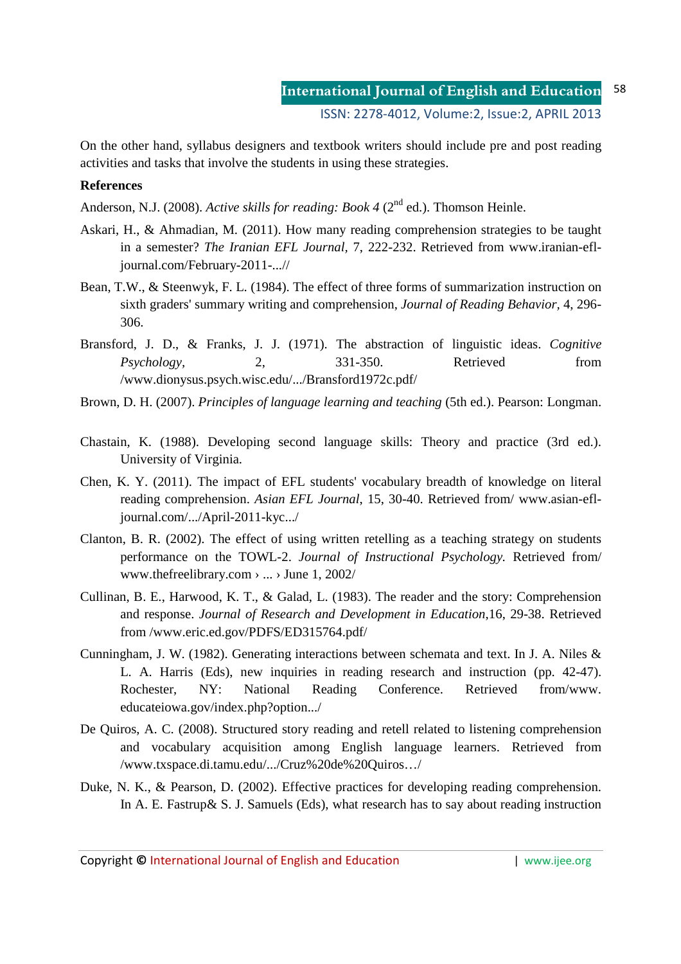On the other hand, syllabus designers and textbook writers should include pre and post reading activities and tasks that involve the students in using these strategies.

### **References**

Anderson, N.J. (2008). *Active skills for reading: Book 4* (2<sup>nd</sup> ed.). Thomson Heinle.

- Askari, H., & Ahmadian, M. (2011). How many reading comprehension strategies to be taught in a semester? *The Iranian EFL Journal,* 7, 222-232. Retrieved from www.iranian-efljournal.com/February-2011-...//
- Bean, T.W., & Steenwyk, F. L. (1984). The effect of three forms of summarization instruction on sixth graders' summary writing and comprehension, *Journal of Reading Behavior,* 4, 296- 306.
- Bransford, J. D., & Franks, J. J. (1971). The abstraction of linguistic ideas. *Cognitive Psychology,* 2, 331-350. Retrieved from /www.dionysus.psych.wisc.edu/.../Bransford1972c.pdf/
- Brown, D. H. (2007). *Principles of language learning and teaching* (5th ed.). Pearson: Longman.
- Chastain, K. (1988). Developing second language skills: Theory and practice (3rd ed.). University of Virginia.
- Chen, K. Y. (2011). The impact of EFL students' vocabulary breadth of knowledge on literal reading comprehension. *Asian EFL Journal*, 15, 30-40. Retrieved from/ www.asian-efljournal.com/.../April-2011-kyc.../
- Clanton, B. R. (2002). The effect of using written retelling as a teaching strategy on students performance on the TOWL-2. *Journal of Instructional Psychology.* Retrieved from/ www.thefreelibrary.com › ... › June 1, 2002/
- Cullinan, B. E., Harwood, K. T., & Galad, L. (1983). The reader and the story: Comprehension and response. *Journal of Research and Development in Education*,16, 29-38. Retrieved from /www.eric.ed.gov/PDFS/ED315764.pdf/
- Cunningham, J. W. (1982). Generating interactions between schemata and text. In J. A. Niles & L. A. Harris (Eds), new inquiries in reading research and instruction (pp. 42-47). Rochester, NY: National Reading Conference. Retrieved from/www. educateiowa.gov/index.php?option.../
- De Quiros, A. C. (2008). Structured story reading and retell related to listening comprehension and vocabulary acquisition among English language learners. Retrieved from /www.txspace.di.tamu.edu/.../Cruz%20de%20Quiros…/
- Duke, N. K., & Pearson, D. (2002). Effective practices for developing reading comprehension. In A. E. Fastrup& S. J. Samuels (Eds), what research has to say about reading instruction

Copyright **©** International Journal of English and Education | www.ijee.org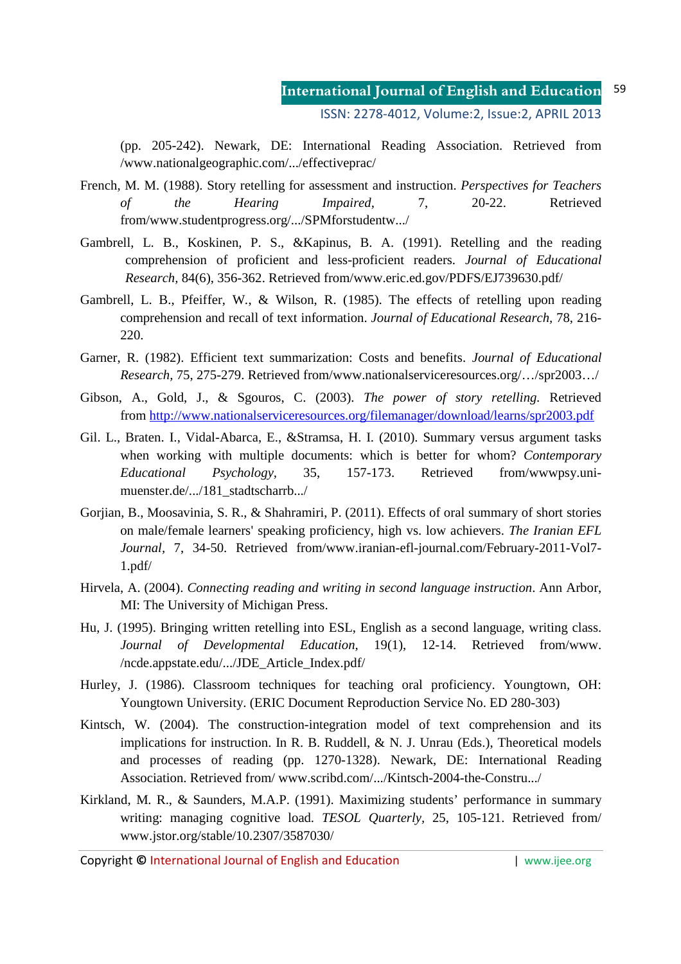(pp. 205-242). Newark, DE: International Reading Association. Retrieved from /www.nationalgeographic.com/.../effectiveprac/

- French, M. M. (1988). Story retelling for assessment and instruction. *Perspectives for Teachers of the Hearing Impaired,* 7, 20-22. Retrieved from/www.studentprogress.org/.../SPMforstudentw.../
- Gambrell, L. B., Koskinen, P. S., &Kapinus, B. A. (1991). Retelling and the reading comprehension of proficient and less-proficient readers. *Journal of Educational Research,* 84(6), 356-362. Retrieved from/www.eric.ed.gov/PDFS/EJ739630.pdf/
- Gambrell, L. B., Pfeiffer, W., & Wilson, R. (1985). The effects of retelling upon reading comprehension and recall of text information. *Journal of Educational Research,* 78, 216- 220.
- Garner, R. (1982). Efficient text summarization: Costs and benefits. *Journal of Educational Research,* 75, 275-279. Retrieved from/www.nationalserviceresources.org/…/spr2003…/
- Gibson, A., Gold, J., & Sgouros, C. (2003). *The power of story retelling.* Retrieved from http://www.nationalserviceresources.org/filemanager/download/learns/spr2003.pdf
- Gil. L., Braten. I., Vidal-Abarca, E., &Stramsa, H. I. (2010). Summary versus argument tasks when working with multiple documents: which is better for whom? *Contemporary Educational Psychology,* 35, 157-173. Retrieved from/wwwpsy.unimuenster.de/.../181\_stadtscharrb.../
- Gorjian, B., Moosavinia, S. R., & Shahramiri, P. (2011). Effects of oral summary of short stories on male/female learners' speaking proficiency, high vs. low achievers. *The Iranian EFL Journal,* 7, 34-50. Retrieved from/www.iranian-efl-journal.com/February-2011-Vol7- 1.pdf/
- Hirvela, A. (2004). *Connecting reading and writing in second language instruction*. Ann Arbor, MI: The University of Michigan Press.
- Hu, J. (1995). Bringing written retelling into ESL, English as a second language, writing class. *Journal of Developmental Education,* 19(1), 12-14. Retrieved from/www. /ncde.appstate.edu/.../JDE\_Article\_Index.pdf/
- Hurley, J. (1986). Classroom techniques for teaching oral proficiency. Youngtown, OH: Youngtown University. (ERIC Document Reproduction Service No. ED 280-303)
- Kintsch, W. (2004). The construction-integration model of text comprehension and its implications for instruction. In R. B. Ruddell, & N. J. Unrau (Eds.), Theoretical models and processes of reading (pp. 1270-1328). Newark, DE: International Reading Association. Retrieved from/ www.scribd.com/.../Kintsch-2004-the-Constru.../
- Kirkland, M. R., & Saunders, M.A.P. (1991). Maximizing students' performance in summary writing: managing cognitive load. *TESOL Quarterly,* 25, 105-121. Retrieved from/ www.jstor.org/stable/10.2307/3587030/

Copyright **©** International Journal of English and Education | www.ijee.org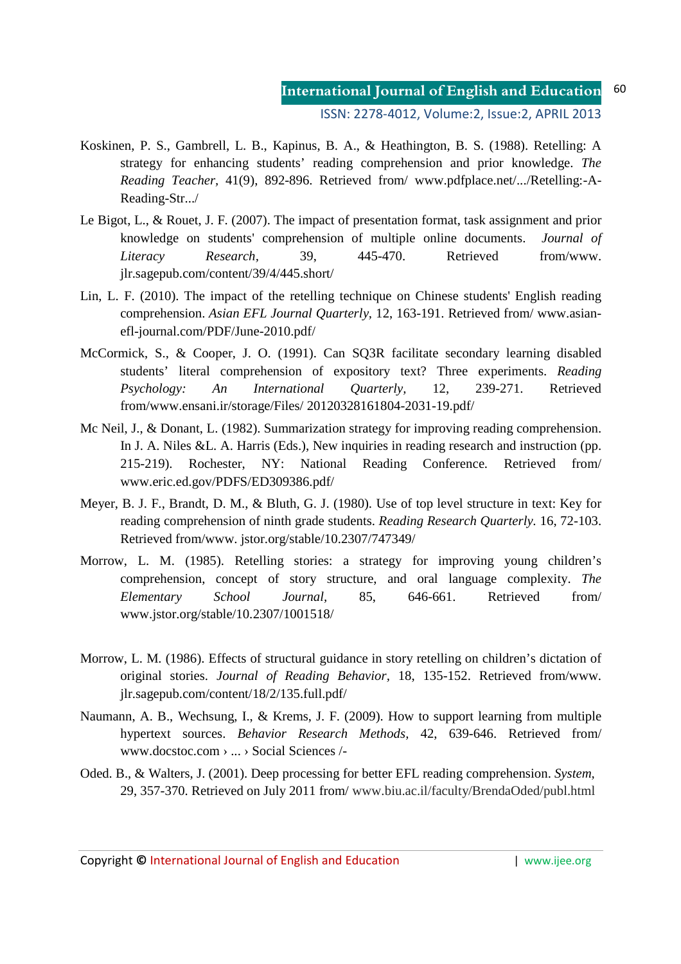# **International Journal of English and Education** ISSN: 2278-4012, Volume:2, Issue:2, APRIL 2013

- Koskinen, P. S., Gambrell, L. B., Kapinus, B. A., & Heathington, B. S. (1988). Retelling: A strategy for enhancing students' reading comprehension and prior knowledge. *The Reading Teacher,* 41(9), 892-896. Retrieved from/ www.pdfplace.net/.../Retelling:-A-Reading-Str.../
- Le Bigot, L., & Rouet, J. F. (2007). The impact of presentation format, task assignment and prior knowledge on students' comprehension of multiple online documents. *Journal of Literacy Research,* 39, 445-470. Retrieved from/www. jlr.sagepub.com/content/39/4/445.short/
- Lin, L. F. (2010). The impact of the retelling technique on Chinese students' English reading comprehension. *Asian EFL Journal Quarterly,* 12, 163-191. Retrieved from/ www.asianefl-journal.com/PDF/June-2010.pdf/
- McCormick, S., & Cooper, J. O. (1991). Can SQ3R facilitate secondary learning disabled students' literal comprehension of expository text? Three experiments. *Reading Psychology: An International Quarterly,* 12, 239-271. Retrieved from/www.ensani.ir/storage/Files/ 20120328161804-2031-19.pdf/
- Mc Neil, J., & Donant, L. (1982). Summarization strategy for improving reading comprehension. In J. A. Niles & L. A. Harris (Eds.), New inquiries in reading research and instruction (pp. 215-219). Rochester, NY: National Reading Conference. Retrieved from/ www.eric.ed.gov/PDFS/ED309386.pdf/
- Meyer, B. J. F., Brandt, D. M., & Bluth, G. J. (1980). Use of top level structure in text: Key for reading comprehension of ninth grade students. *Reading Research Quarterly.* 16, 72-103. Retrieved from/www. jstor.org/stable/10.2307/747349/
- Morrow, L. M. (1985). Retelling stories: a strategy for improving young children's comprehension, concept of story structure, and oral language complexity. *The Elementary School Journal,* 85, 646-661. Retrieved from/ www.jstor.org/stable/10.2307/1001518/
- Morrow, L. M. (1986). Effects of structural guidance in story retelling on children's dictation of original stories. *Journal of Reading Behavior,* 18, 135-152. Retrieved from/www. jlr.sagepub.com/content/18/2/135.full.pdf/
- Naumann, A. B., Wechsung, I., & Krems, J. F. (2009). How to support learning from multiple hypertext sources. *Behavior Research Methods,* 42, 639-646. Retrieved from/ www.docstoc.com › ... › Social Sciences /-
- Oded. B., & Walters, J. (2001). Deep processing for better EFL reading comprehension. *System,*  29, 357-370. Retrieved on July 2011 from/ www.biu.ac.il/faculty/BrendaOded/publ.html